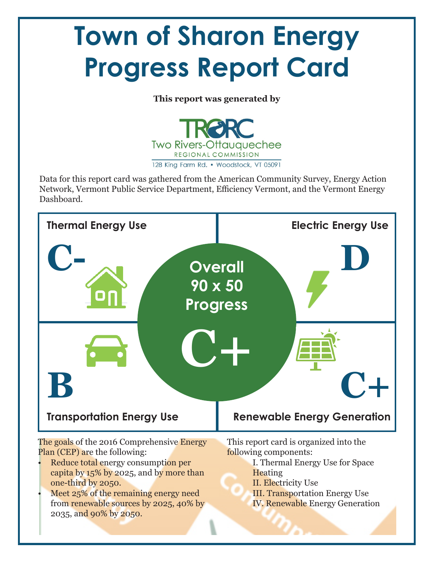# **Town of Sharon Energy Progress Report Card**

**This report was generated by**



Data for this report card was gathered from the American Community Survey, Energy Action Network, Vermont Public Service Department, Efficiency Vermont, and the Vermont Energy Dashboard.



- Meet 25% of the remaining energy need from renewable sources by 2025, 40% by 2035, and 90% by 2050.
- III. Transportation Energy Use IV. Renewable Energy Generation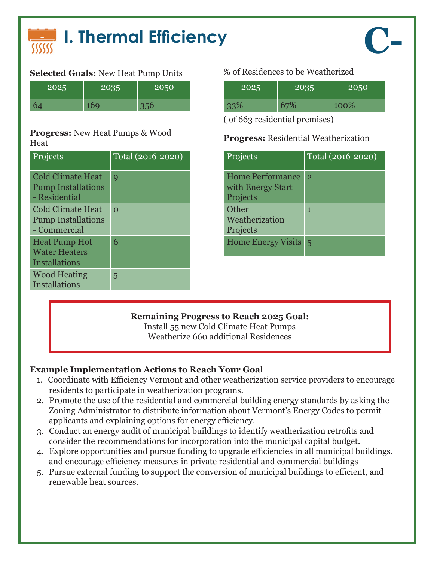

## **Selected Goals:** New Heat Pump Units % of Residences to be Weatherized

| 2025 | 2035 | 2050 |
|------|------|------|
|      |      |      |

### **Progress:** New Heat Pumps & Wood **Progress:** Residential Weatherization<br>Heat

| Projects                                                               | $Total (2016 - 2020)$ |
|------------------------------------------------------------------------|-----------------------|
| <b>Cold Climate Heat</b><br><b>Pump Installations</b><br>- Residential | q                     |
| <b>Cold Climate Heat</b><br><b>Pump Installations</b><br>- Commercial  | $\Omega$              |
| <b>Heat Pump Hot</b><br><b>Water Heaters</b><br>Installations          | 6                     |
| <b>Wood Heating</b><br>Installations                                   | 5                     |

| 2025 | 2035 | 2050 |
|------|------|------|
| 33%  | 67%  | 100% |

( of 663 residential premises)

| Projects                                                 | Total (2016-2020) |
|----------------------------------------------------------|-------------------|
| <b>Home Performance</b><br>with Energy Start<br>Projects | $\overline{2}$    |
| Other<br>Weatherization<br>Projects                      | 1                 |
| Home Energy Visits 5                                     |                   |

### **Remaining Progress to Reach 2025 Goal:**

Install 55 new Cold Climate Heat Pumps Weatherize 660 additional Residences

- 1. Coordinate with Efficiency Vermont and other weatherization service providers to encourage residents to participate in weatherization programs.
- 2. Promote the use of the residential and commercial building energy standards by asking the Zoning Administrator to distribute information about Vermont's Energy Codes to permit applicants and explaining options for energy efficiency.
- 3. Conduct an energy audit of municipal buildings to identify weatherization retrofits and consider the recommendations for incorporation into the municipal capital budget.
- 4. Explore opportunities and pursue funding to upgrade efficiencies in all municipal buildings. and encourage efficiency measures in private residential and commercial buildings
- 5. Pursue external funding to support the conversion of municipal buildings to efficient, and renewable heat sources.

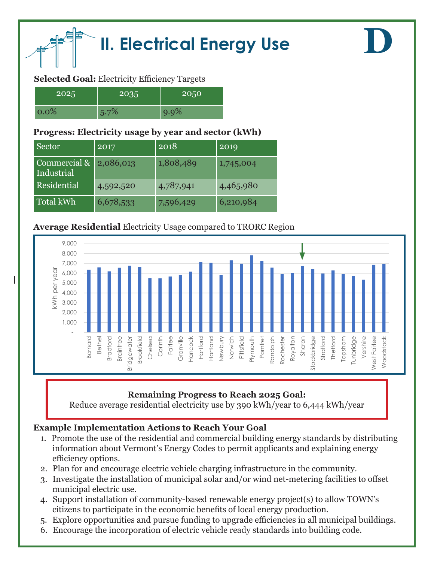

### **Selected Goal:** Electricity Efficiency Targets

| 2025    | $20\overline{35}$ | 2050    |
|---------|-------------------|---------|
| $0.0\%$ | 5.7%              | $9.9\%$ |

### **Progress: Electricity usage by year and sector (kWh)**

| Sector                     | 2017      | 2018      | 2019      |
|----------------------------|-----------|-----------|-----------|
| Commercial &<br>Industrial | 2,086,013 | 1,808,489 | 1,745,004 |
| Residential                | 4,592,520 | 4,787,941 | 4,465,980 |
| Total kWh                  | 6,678,533 | 7,596,429 | 6,210,984 |

### **Average Residential** Electricity Usage compared to TRORC Region



**D**

### **Remaining Progress to Reach 2025 Goal:**

Reduce average residential electricity use by 390 kWh/year to 6,444 kWh/year

- 1. Promote the use of the residential and commercial building energy standards by distributing information about Vermont's Energy Codes to permit applicants and explaining energy efficiency options.
- 2. Plan for and encourage electric vehicle charging infrastructure in the community.
- 3. Investigate the installation of municipal solar and/or wind net-metering facilities to offset municipal electric use.
- 4. Support installation of community-based renewable energy project(s) to allow TOWN's citizens to participate in the economic benefits of local energy production.
- 5. Explore opportunities and pursue funding to upgrade efficiencies in all municipal buildings.
- 6. Encourage the incorporation of electric vehicle ready standards into building code.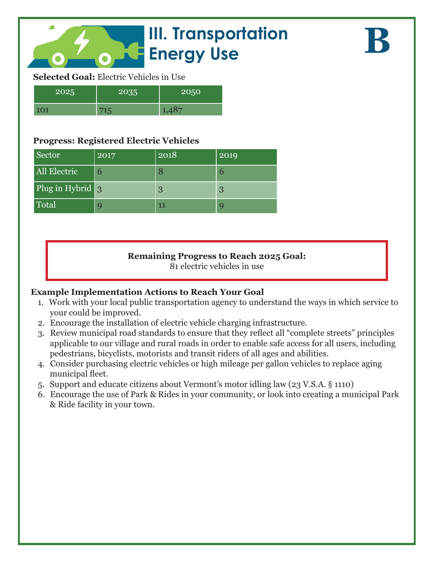## **III. Transportation Energy Use**

**B**

### **Selected Goal:** Electric Vehicles in Use

| 2025 | いいつに | 2050 |
|------|------|------|
| 101  |      |      |

### **Progress: Registered Electric Vehicles**

| Sector           | 2017 | 2018 | 2019          |
|------------------|------|------|---------------|
| All Electric     | 6    |      | $\mathfrak b$ |
| Plug in Hybrid 3 |      | 3    | 3             |
| Total            | g    | 11   | q             |

### **Remaining Progress to Reach 2025 Goal:**

81 electric vehicles in use

- 1. Work with your local public transportation agency to understand the ways in which service to your could be improved.
- 2. Encourage the installation of electric vehicle charging infrastructure.
- 3. Review municipal road standards to ensure that they reflect all "complete streets" principles applicable to our village and rural roads in order to enable safe access for all users, including pedestrians, bicyclists, motorists and transit riders of all ages and abilities.
- 4. Consider purchasing electric vehicles or high mileage per gallon vehicles to replace aging municipal fleet.
- 5. Support and educate citizens about Vermont's motor idling law (23 V.S.A. § 1110)
- 6. Encourage the use of Park & Rides in your community, or look into creating a municipal Park & Ride facility in your town.